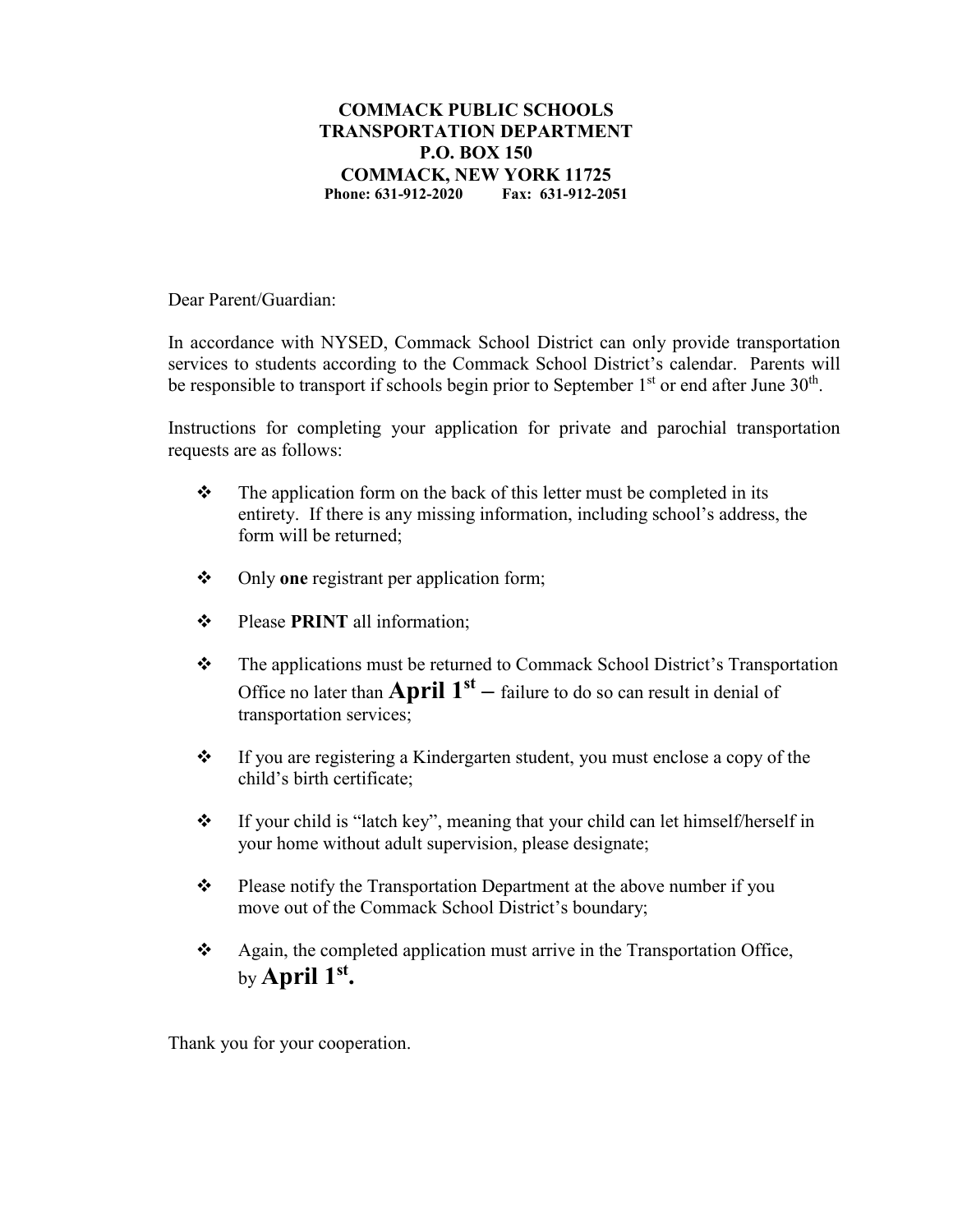## **COMMACK PUBLIC SCHOOLS TRANSPORTATION DEPARTMENT P.O. BOX 150 COMMACK, NEW YORK 11725 Phone: 631-912-2020 Fax: 631-912-2051**

Dear Parent/Guardian:

In accordance with NYSED, Commack School District can only provide transportation services to students according to the Commack School District's calendar. Parents will be responsible to transport if schools begin prior to September  $1<sup>st</sup>$  or end after June  $30<sup>th</sup>$ .

Instructions for completing your application for private and parochial transportation requests are as follows:

- $\cdot \cdot$  The application form on the back of this letter must be completed in its entirety. If there is any missing information, including school's address, the form will be returned;
- Only **one** registrant per application form;
- $\div$  Please **PRINT** all information;
- \* The applications must be returned to Commack School District's Transportation Office no later than **April**  $1<sup>st</sup>$  – failure to do so can result in denial of transportation services;
- If you are registering a Kindergarten student, you must enclose a copy of the child's birth certificate;
- If your child is "latch key", meaning that your child can let himself/herself in your home without adult supervision, please designate;
- $\mathbf{\hat{P}}$  Please notify the Transportation Department at the above number if you move out of the Commack School District's boundary;
- $\triangle$  Again, the completed application must arrive in the Transportation Office, by **April 1st.**

Thank you for your cooperation.